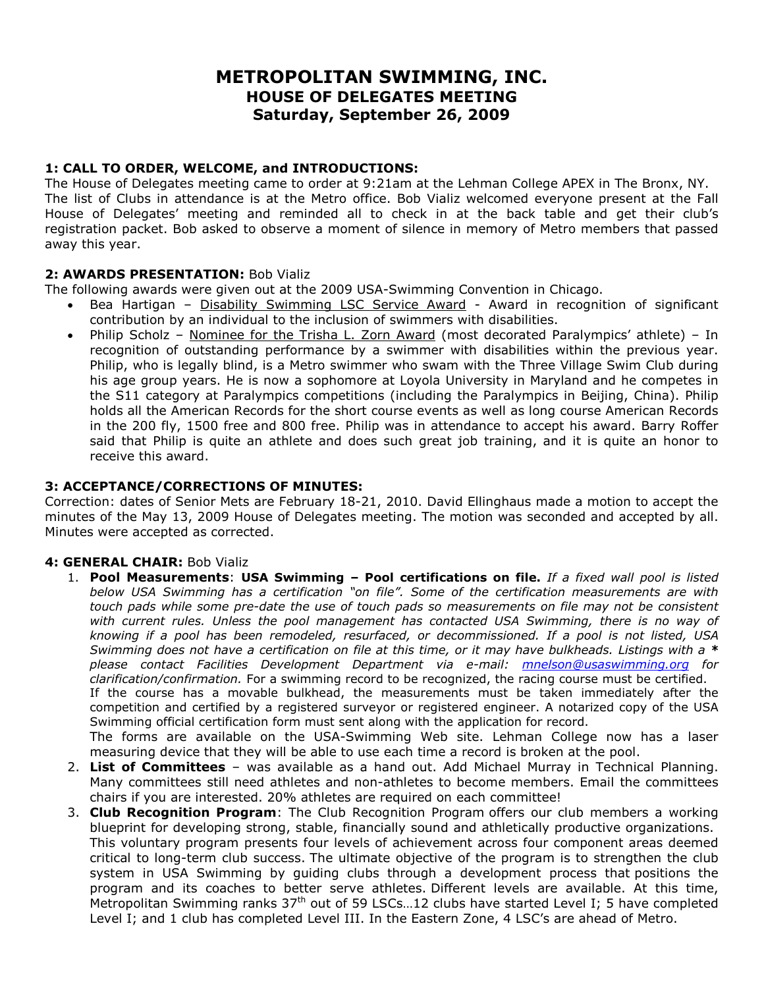# **METROPOLITAN SWIMMING, INC. HOUSE OF DELEGATES MEETING Saturday, September 26, 2009**

### **1: CALL TO ORDER, WELCOME, and INTRODUCTIONS:**

The House of Delegates meeting came to order at 9:21am at the Lehman College APEX in The Bronx, NY. The list of Clubs in attendance is at the Metro office. Bob Vializ welcomed everyone present at the Fall House of Delegates' meeting and reminded all to check in at the back table and get their club's registration packet. Bob asked to observe a moment of silence in memory of Metro members that passed away this year.

### **2: AWARDS PRESENTATION:** Bob Vializ

The following awards were given out at the 2009 USA-Swimming Convention in Chicago.

- Bea Hartigan Disability Swimming LSC Service Award Award in recognition of significant contribution by an individual to the inclusion of swimmers with disabilities.
- Philip Scholz Nominee for the Trisha L. Zorn Award (most decorated Paralympics' athlete) In recognition of outstanding performance by a swimmer with disabilities within the previous year. Philip, who is legally blind, is a Metro swimmer who swam with the Three Village Swim Club during his age group years. He is now a sophomore at Loyola University in Maryland and he competes in the S11 category at Paralympics competitions (including the Paralympics in Beijing, China). Philip holds all the American Records for the short course events as well as long course American Records in the 200 fly, 1500 free and 800 free. Philip was in attendance to accept his award. Barry Roffer said that Philip is quite an athlete and does such great job training, and it is quite an honor to receive this award.

### **3: ACCEPTANCE/CORRECTIONS OF MINUTES:**

Correction: dates of Senior Mets are February 18-21, 2010. David Ellinghaus made a motion to accept the minutes of the May 13, 2009 House of Delegates meeting. The motion was seconded and accepted by all. Minutes were accepted as corrected.

### **4: GENERAL CHAIR:** Bob Vializ

- 1. **Pool Measurements**: **USA Swimming Pool certifications on file.** *If a fixed wall pool is listed below USA Swimming has a certification "on file". Some of the certification measurements are with touch pads while some pre-date the use of touch pads so measurements on file may not be consistent with current rules. Unless the pool management has contacted USA Swimming, there is no way of knowing if a pool has been remodeled, resurfaced, or decommissioned. If a pool is not listed, USA Swimming does not have a certification on file at this time, or it may have bulkheads. Listings with a \* please contact Facilities Development Department via e-mail: mnelson@usaswimming.org for clarification/confirmation.* For a swimming record to be recognized, the racing course must be certified. If the course has a movable bulkhead, the measurements must be taken immediately after the competition and certified by a registered surveyor or registered engineer. A notarized copy of the USA Swimming official certification form must sent along with the application for record. The forms are available on the USA-Swimming Web site. Lehman College now has a laser measuring device that they will be able to use each time a record is broken at the pool.
- 2. **List of Committees** was available as a hand out. Add Michael Murray in Technical Planning. Many committees still need athletes and non-athletes to become members. Email the committees chairs if you are interested. 20% athletes are required on each committee!
- 3. **Club Recognition Program**: The Club Recognition Program offers our club members a working blueprint for developing strong, stable, financially sound and athletically productive organizations. This voluntary program presents four levels of achievement across four component areas deemed critical to long-term club success. The ultimate objective of the program is to strengthen the club system in USA Swimming by guiding clubs through a development process that positions the program and its coaches to better serve athletes. Different levels are available. At this time, Metropolitan Swimming ranks 37<sup>th</sup> out of 59 LSCs...12 clubs have started Level I; 5 have completed Level I; and 1 club has completed Level III. In the Eastern Zone, 4 LSC's are ahead of Metro.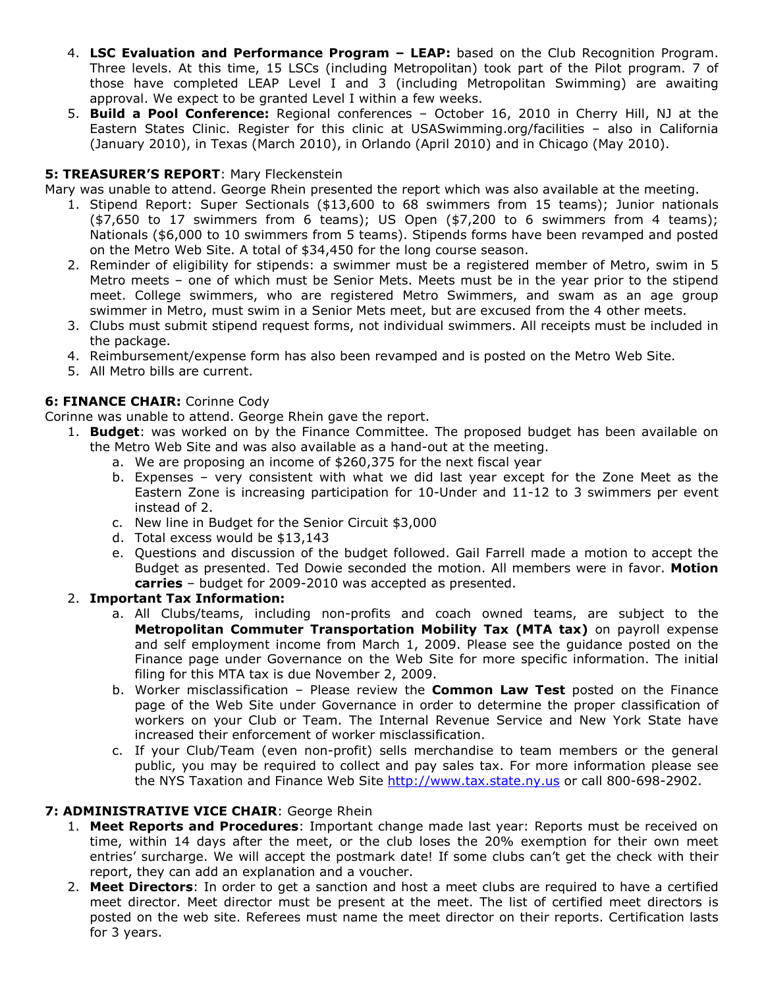- 4. **LSC Evaluation and Performance Program LEAP:** based on the Club Recognition Program. Three levels. At this time, 15 LSCs (including Metropolitan) took part of the Pilot program. 7 of those have completed LEAP Level I and 3 (including Metropolitan Swimming) are awaiting approval. We expect to be granted Level I within a few weeks.
- 5. **Build a Pool Conference:** Regional conferences October 16, 2010 in Cherry Hill, NJ at the Eastern States Clinic. Register for this clinic at USASwimming.org/facilities – also in California (January 2010), in Texas (March 2010), in Orlando (April 2010) and in Chicago (May 2010).

# **5: TREASURER'S REPORT**: Mary Fleckenstein

Mary was unable to attend. George Rhein presented the report which was also available at the meeting.

- 1. Stipend Report: Super Sectionals (\$13,600 to 68 swimmers from 15 teams); Junior nationals  $(47,650 \text{ to } 17 \text{ swimmers from } 6 \text{ teams})$ ; US Open  $(47,200 \text{ to } 6 \text{ swimmers from } 4 \text{ teams})$ ; Nationals (\$6,000 to 10 swimmers from 5 teams). Stipends forms have been revamped and posted on the Metro Web Site. A total of \$34,450 for the long course season.
- 2. Reminder of eligibility for stipends: a swimmer must be a registered member of Metro, swim in 5 Metro meets – one of which must be Senior Mets. Meets must be in the year prior to the stipend meet. College swimmers, who are registered Metro Swimmers, and swam as an age group swimmer in Metro, must swim in a Senior Mets meet, but are excused from the 4 other meets.
- 3. Clubs must submit stipend request forms, not individual swimmers. All receipts must be included in the package.
- 4. Reimbursement/expense form has also been revamped and is posted on the Metro Web Site.
- 5. All Metro bills are current.

# **6: FINANCE CHAIR:** Corinne Cody

Corinne was unable to attend. George Rhein gave the report.

- 1. **Budget**: was worked on by the Finance Committee. The proposed budget has been available on the Metro Web Site and was also available as a hand-out at the meeting.
	- a. We are proposing an income of \$260,375 for the next fiscal year
	- b. Expenses very consistent with what we did last year except for the Zone Meet as the Eastern Zone is increasing participation for 10-Under and 11-12 to 3 swimmers per event instead of 2.
	- c. New line in Budget for the Senior Circuit \$3,000
	- d. Total excess would be \$13,143
	- e. Questions and discussion of the budget followed. Gail Farrell made a motion to accept the Budget as presented. Ted Dowie seconded the motion. All members were in favor. **Motion carries** – budget for 2009-2010 was accepted as presented.

# 2. **Important Tax Information:**

- a. All Clubs/teams, including non-profits and coach owned teams, are subject to the **Metropolitan Commuter Transportation Mobility Tax (MTA tax)** on payroll expense and self employment income from March 1, 2009. Please see the guidance posted on the Finance page under Governance on the Web Site for more specific information. The initial filing for this MTA tax is due November 2, 2009.
- b. Worker misclassification Please review the **Common Law Test** posted on the Finance page of the Web Site under Governance in order to determine the proper classification of workers on your Club or Team. The Internal Revenue Service and New York State have increased their enforcement of worker misclassification.
- c. If your Club/Team (even non-profit) sells merchandise to team members or the general public, you may be required to collect and pay sales tax. For more information please see the NYS Taxation and Finance Web Site http://www.tax.state.ny.us or call 800-698-2902.

# **7: ADMINISTRATIVE VICE CHAIR**: George Rhein

- 1. **Meet Reports and Procedures**: Important change made last year: Reports must be received on time, within 14 days after the meet, or the club loses the 20% exemption for their own meet entries' surcharge. We will accept the postmark date! If some clubs can't get the check with their report, they can add an explanation and a voucher.
- 2. **Meet Directors**: In order to get a sanction and host a meet clubs are required to have a certified meet director. Meet director must be present at the meet. The list of certified meet directors is posted on the web site. Referees must name the meet director on their reports. Certification lasts for 3 years.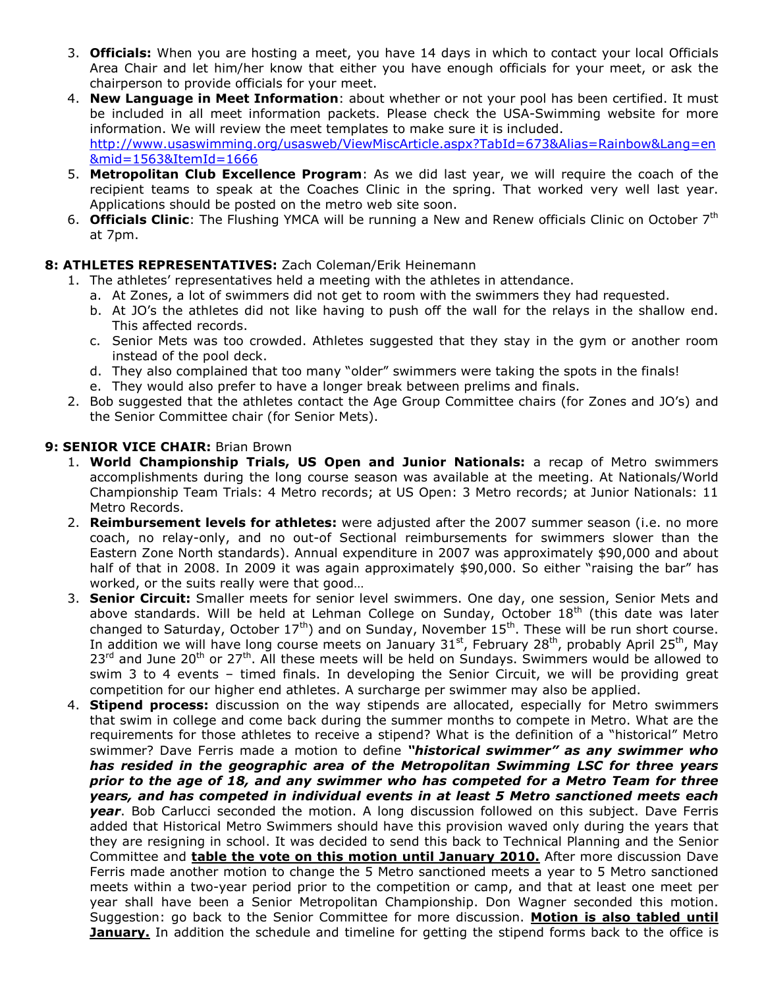- 3. **Officials:** When you are hosting a meet, you have 14 days in which to contact your local Officials Area Chair and let him/her know that either you have enough officials for your meet, or ask the chairperson to provide officials for your meet.
- 4. **New Language in Meet Information**: about whether or not your pool has been certified. It must be included in all meet information packets. Please check the USA-Swimming website for more information. We will review the meet templates to make sure it is included. http://www.usaswimming.org/usasweb/ViewMiscArticle.aspx?TabId=673&Alias=Rainbow&Lang=en &mid=1563&ItemId=1666
- 5. **Metropolitan Club Excellence Program**: As we did last year, we will require the coach of the recipient teams to speak at the Coaches Clinic in the spring. That worked very well last year. Applications should be posted on the metro web site soon.
- 6. **Officials Clinic**: The Flushing YMCA will be running a New and Renew officials Clinic on October 7th at 7pm.

# **8: ATHLETES REPRESENTATIVES:** Zach Coleman/Erik Heinemann

- 1. The athletes' representatives held a meeting with the athletes in attendance.
	- a. At Zones, a lot of swimmers did not get to room with the swimmers they had requested.
	- b. At JO's the athletes did not like having to push off the wall for the relays in the shallow end. This affected records.
	- c. Senior Mets was too crowded. Athletes suggested that they stay in the gym or another room instead of the pool deck.
	- d. They also complained that too many "older" swimmers were taking the spots in the finals!
	- e. They would also prefer to have a longer break between prelims and finals.
- 2. Bob suggested that the athletes contact the Age Group Committee chairs (for Zones and JO's) and the Senior Committee chair (for Senior Mets).

### **9: SENIOR VICE CHAIR: Brian Brown**

- 1. **World Championship Trials, US Open and Junior Nationals:** a recap of Metro swimmers accomplishments during the long course season was available at the meeting. At Nationals/World Championship Team Trials: 4 Metro records; at US Open: 3 Metro records; at Junior Nationals: 11 Metro Records.
- 2. **Reimbursement levels for athletes:** were adjusted after the 2007 summer season (i.e. no more coach, no relay-only, and no out-of Sectional reimbursements for swimmers slower than the Eastern Zone North standards). Annual expenditure in 2007 was approximately \$90,000 and about half of that in 2008. In 2009 it was again approximately \$90,000. So either "raising the bar" has worked, or the suits really were that good…
- 3. **Senior Circuit:** Smaller meets for senior level swimmers. One day, one session, Senior Mets and above standards. Will be held at Lehman College on Sunday, October  $18<sup>th</sup>$  (this date was later changed to Saturday, October  $17<sup>th</sup>$ ) and on Sunday, November  $15<sup>th</sup>$ . These will be run short course. In addition we will have long course meets on January  $31<sup>st</sup>$ , February 28<sup>th</sup>, probably April 25<sup>th</sup>, May 23<sup>rd</sup> and June 20<sup>th</sup> or 27<sup>th</sup>. All these meets will be held on Sundays. Swimmers would be allowed to swim 3 to 4 events – timed finals. In developing the Senior Circuit, we will be providing great competition for our higher end athletes. A surcharge per swimmer may also be applied.
- 4. **Stipend process:** discussion on the way stipends are allocated, especially for Metro swimmers that swim in college and come back during the summer months to compete in Metro. What are the requirements for those athletes to receive a stipend? What is the definition of a "historical" Metro swimmer? Dave Ferris made a motion to define *"historical swimmer" as any swimmer who has resided in the geographic area of the Metropolitan Swimming LSC for three years prior to the age of 18, and any swimmer who has competed for a Metro Team for three years, and has competed in individual events in at least 5 Metro sanctioned meets each year*. Bob Carlucci seconded the motion. A long discussion followed on this subject. Dave Ferris added that Historical Metro Swimmers should have this provision waved only during the years that they are resigning in school. It was decided to send this back to Technical Planning and the Senior Committee and **table the vote on this motion until January 2010.** After more discussion Dave Ferris made another motion to change the 5 Metro sanctioned meets a year to 5 Metro sanctioned meets within a two-year period prior to the competition or camp, and that at least one meet per year shall have been a Senior Metropolitan Championship. Don Wagner seconded this motion. Suggestion: go back to the Senior Committee for more discussion. **Motion is also tabled until January.** In addition the schedule and timeline for getting the stipend forms back to the office is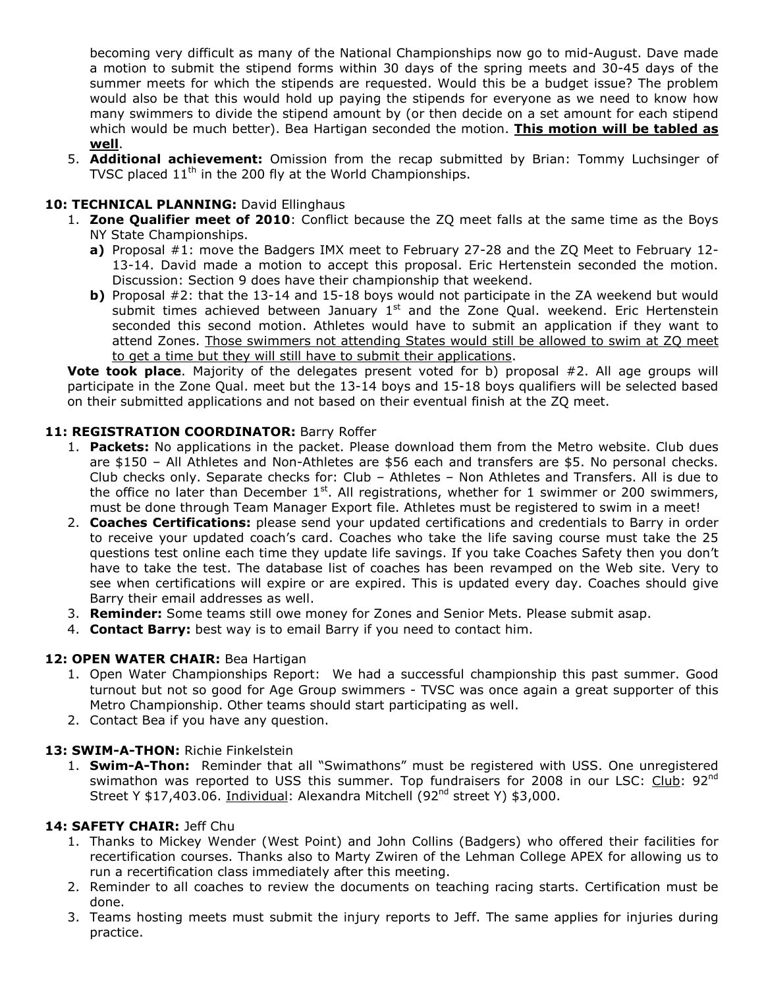becoming very difficult as many of the National Championships now go to mid-August. Dave made a motion to submit the stipend forms within 30 days of the spring meets and 30-45 days of the summer meets for which the stipends are requested. Would this be a budget issue? The problem would also be that this would hold up paying the stipends for everyone as we need to know how many swimmers to divide the stipend amount by (or then decide on a set amount for each stipend which would be much better). Bea Hartigan seconded the motion. **This motion will be tabled as well**.

5. **Additional achievement:** Omission from the recap submitted by Brian: Tommy Luchsinger of TVSC placed  $11<sup>th</sup>$  in the 200 fly at the World Championships.

# 10: TECHNICAL PLANNING: David Ellinghaus

- 1. **Zone Qualifier meet of 2010**: Conflict because the ZQ meet falls at the same time as the Boys NY State Championships.
	- **a)** Proposal #1: move the Badgers IMX meet to February 27-28 and the ZQ Meet to February 12- 13-14. David made a motion to accept this proposal. Eric Hertenstein seconded the motion. Discussion: Section 9 does have their championship that weekend.
	- **b)** Proposal #2: that the 13-14 and 15-18 boys would not participate in the ZA weekend but would submit times achieved between January  $1<sup>st</sup>$  and the Zone Qual. weekend. Eric Hertenstein seconded this second motion. Athletes would have to submit an application if they want to attend Zones. Those swimmers not attending States would still be allowed to swim at ZQ meet to get a time but they will still have to submit their applications.

**Vote took place**. Majority of the delegates present voted for b) proposal #2. All age groups will participate in the Zone Qual. meet but the 13-14 boys and 15-18 boys qualifiers will be selected based on their submitted applications and not based on their eventual finish at the ZQ meet.

### **11: REGISTRATION COORDINATOR:** Barry Roffer

- 1. **Packets:** No applications in the packet. Please download them from the Metro website. Club dues are \$150 – All Athletes and Non-Athletes are \$56 each and transfers are \$5. No personal checks. Club checks only. Separate checks for: Club – Athletes – Non Athletes and Transfers. All is due to the office no later than December  $1<sup>st</sup>$ . All registrations, whether for 1 swimmer or 200 swimmers, must be done through Team Manager Export file. Athletes must be registered to swim in a meet!
- 2. **Coaches Certifications:** please send your updated certifications and credentials to Barry in order to receive your updated coach's card. Coaches who take the life saving course must take the 25 questions test online each time they update life savings. If you take Coaches Safety then you don't have to take the test. The database list of coaches has been revamped on the Web site. Very to see when certifications will expire or are expired. This is updated every day. Coaches should give Barry their email addresses as well.
- 3. **Reminder:** Some teams still owe money for Zones and Senior Mets. Please submit asap.
- 4. **Contact Barry:** best way is to email Barry if you need to contact him.

# **12: OPEN WATER CHAIR:** Bea Hartigan

- 1. Open Water Championships Report: We had a successful championship this past summer. Good turnout but not so good for Age Group swimmers - TVSC was once again a great supporter of this Metro Championship. Other teams should start participating as well.
- 2. Contact Bea if you have any question.

### **13: SWIM-A-THON:** Richie Finkelstein

1. **Swim-A-Thon:** Reminder that all "Swimathons" must be registered with USS. One unregistered swimathon was reported to USS this summer. Top fundraisers for 2008 in our LSC: Club: 92<sup>nd</sup> Street Y \$17,403.06. Individual: Alexandra Mitchell (92<sup>nd</sup> street Y) \$3,000.

### **14: SAFETY CHAIR:** Jeff Chu

- 1. Thanks to Mickey Wender (West Point) and John Collins (Badgers) who offered their facilities for recertification courses. Thanks also to Marty Zwiren of the Lehman College APEX for allowing us to run a recertification class immediately after this meeting.
- 2. Reminder to all coaches to review the documents on teaching racing starts. Certification must be done.
- 3. Teams hosting meets must submit the injury reports to Jeff. The same applies for injuries during practice.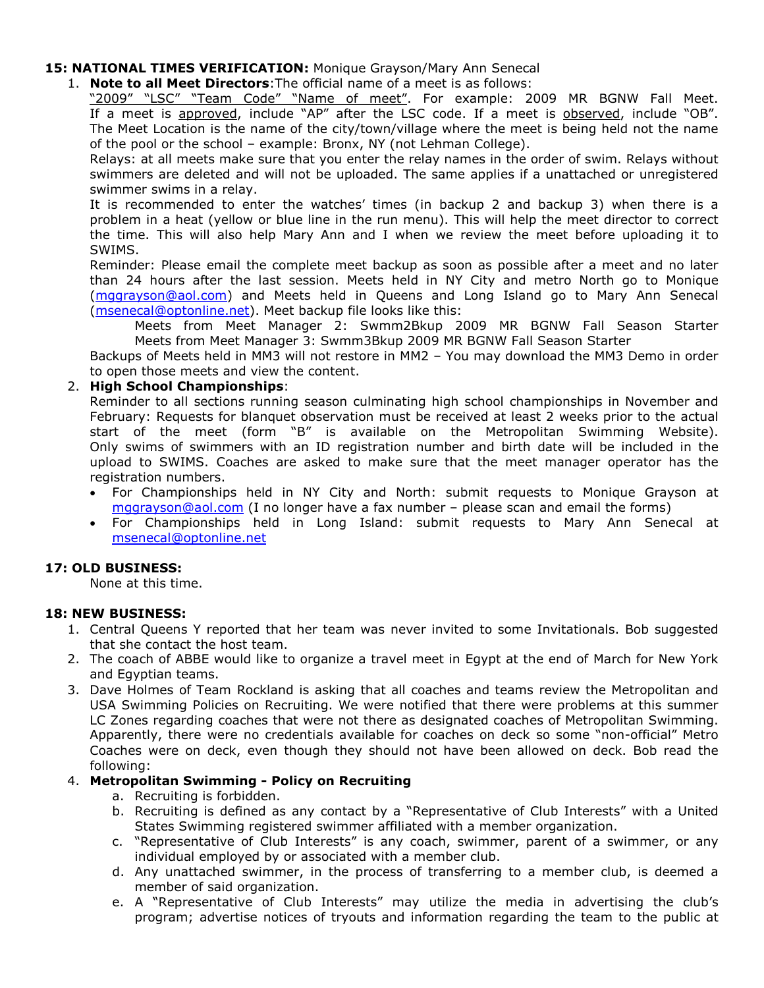### **15: NATIONAL TIMES VERIFICATION:** Monique Grayson/Mary Ann Senecal

### 1. **Note to all Meet Directors**:The official name of a meet is as follows:

"2009" "LSC" "Team Code" "Name of meet". For example: 2009 MR BGNW Fall Meet. If a meet is approved, include "AP" after the LSC code. If a meet is observed, include "OB". The Meet Location is the name of the city/town/village where the meet is being held not the name of the pool or the school – example: Bronx, NY (not Lehman College).

Relays: at all meets make sure that you enter the relay names in the order of swim. Relays without swimmers are deleted and will not be uploaded. The same applies if a unattached or unregistered swimmer swims in a relay.

It is recommended to enter the watches' times (in backup 2 and backup 3) when there is a problem in a heat (yellow or blue line in the run menu). This will help the meet director to correct the time. This will also help Mary Ann and I when we review the meet before uploading it to SWIMS.

Reminder: Please email the complete meet backup as soon as possible after a meet and no later than 24 hours after the last session. Meets held in NY City and metro North go to Monique (mggrayson@aol.com) and Meets held in Queens and Long Island go to Mary Ann Senecal (msenecal@optonline.net). Meet backup file looks like this:

Meets from Meet Manager 2: Swmm2Bkup 2009 MR BGNW Fall Season Starter Meets from Meet Manager 3: Swmm3Bkup 2009 MR BGNW Fall Season Starter

Backups of Meets held in MM3 will not restore in MM2 – You may download the MM3 Demo in order to open those meets and view the content.

### 2. **High School Championships**:

Reminder to all sections running season culminating high school championships in November and February: Requests for blanquet observation must be received at least 2 weeks prior to the actual start of the meet (form "B" is available on the Metropolitan Swimming Website). Only swims of swimmers with an ID registration number and birth date will be included in the upload to SWIMS. Coaches are asked to make sure that the meet manager operator has the registration numbers.

- For Championships held in NY City and North: submit requests to Monique Grayson at mggrayson@aol.com (I no longer have a fax number - please scan and email the forms)
- For Championships held in Long Island: submit requests to Mary Ann Senecal at msenecal@optonline.net

### **17: OLD BUSINESS:**

None at this time.

### **18: NEW BUSINESS:**

- 1. Central Queens Y reported that her team was never invited to some Invitationals. Bob suggested that she contact the host team.
- 2. The coach of ABBE would like to organize a travel meet in Egypt at the end of March for New York and Egyptian teams.
- 3. Dave Holmes of Team Rockland is asking that all coaches and teams review the Metropolitan and USA Swimming Policies on Recruiting. We were notified that there were problems at this summer LC Zones regarding coaches that were not there as designated coaches of Metropolitan Swimming. Apparently, there were no credentials available for coaches on deck so some "non-official" Metro Coaches were on deck, even though they should not have been allowed on deck. Bob read the following:

### 4. **Metropolitan Swimming - Policy on Recruiting**

- a. Recruiting is forbidden.
- b. Recruiting is defined as any contact by a "Representative of Club Interests" with a United States Swimming registered swimmer affiliated with a member organization.
- c. "Representative of Club Interests" is any coach, swimmer, parent of a swimmer, or any individual employed by or associated with a member club.
- d. Any unattached swimmer, in the process of transferring to a member club, is deemed a member of said organization.
- e. A "Representative of Club Interests" may utilize the media in advertising the club's program; advertise notices of tryouts and information regarding the team to the public at